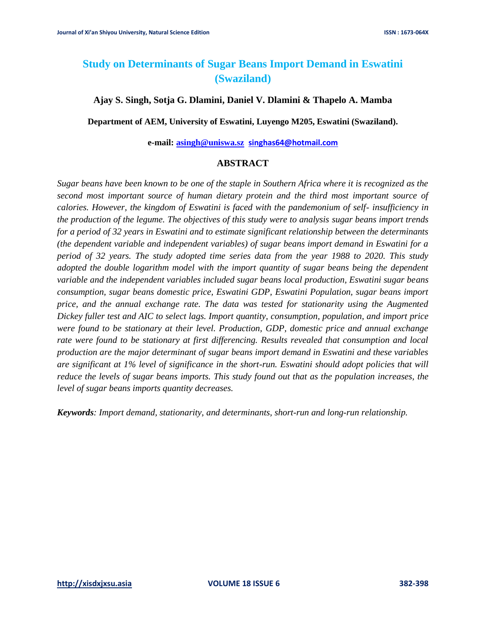# **Study on Determinants of Sugar Beans Import Demand in Eswatini (Swaziland)**

## **Ajay S. Singh, Sotja G. Dlamini, Daniel V. Dlamini & Thapelo A. Mamba**

**Department of AEM, University of Eswatini, Luyengo M205, Eswatini (Swaziland).**

#### **e-mail: [asingh@uniswa.sz](mailto:asingh@uniswa.sz) [singhas64@hotmail.com](mailto:singhas64@hotmail.com)**

## **ABSTRACT**

*Sugar beans have been known to be one of the staple in Southern Africa where it is recognized as the second most important source of human dietary protein and the third most important source of calories. However, the kingdom of Eswatini is faced with the pandemonium of self- insufficiency in the production of the legume. The objectives of this study were to analysis sugar beans import trends for a period of 32 years in Eswatini and to estimate significant relationship between the determinants (the dependent variable and independent variables) of sugar beans import demand in Eswatini for a period of 32 years. The study adopted time series data from the year 1988 to 2020. This study adopted the double logarithm model with the import quantity of sugar beans being the dependent variable and the independent variables included sugar beans local production, Eswatini sugar beans consumption, sugar beans domestic price, Eswatini GDP, Eswatini Population, sugar beans import price, and the annual exchange rate. The data was tested for stationarity using the Augmented Dickey fuller test and AIC to select lags. Import quantity, consumption, population, and import price were found to be stationary at their level. Production, GDP, domestic price and annual exchange rate were found to be stationary at first differencing. Results revealed that consumption and local production are the major determinant of sugar beans import demand in Eswatini and these variables are significant at 1% level of significance in the short-run. Eswatini should adopt policies that will reduce the levels of sugar beans imports. This study found out that as the population increases, the level of sugar beans imports quantity decreases.* 

*Keywords: Import demand, stationarity, and determinants, short-run and long-run relationship.*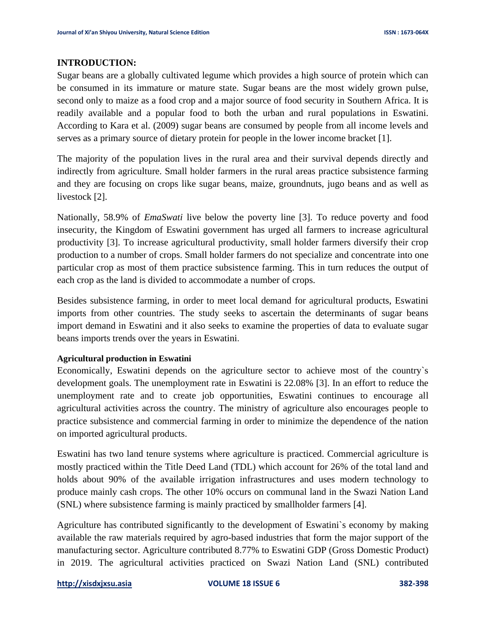## **INTRODUCTION:**

Sugar beans are a globally cultivated legume which provides a high source of protein which can be consumed in its immature or mature state. Sugar beans are the most widely grown pulse, second only to maize as a food crop and a major source of food security in Southern Africa. It is readily available and a popular food to both the urban and rural populations in Eswatini. According to Kara et al. (2009) sugar beans are consumed by people from all income levels and serves as a primary source of dietary protein for people in the lower income bracket [1].

The majority of the population lives in the rural area and their survival depends directly and indirectly from agriculture. Small holder farmers in the rural areas practice subsistence farming and they are focusing on crops like sugar beans, maize, groundnuts, jugo beans and as well as livestock [2].

Nationally, 58.9% of *EmaSwati* live below the poverty line [3]. To reduce poverty and food insecurity, the Kingdom of Eswatini government has urged all farmers to increase agricultural productivity [3]. To increase agricultural productivity, small holder farmers diversify their crop production to a number of crops. Small holder farmers do not specialize and concentrate into one particular crop as most of them practice subsistence farming. This in turn reduces the output of each crop as the land is divided to accommodate a number of crops.

Besides subsistence farming, in order to meet local demand for agricultural products, Eswatini imports from other countries. The study seeks to ascertain the determinants of sugar beans import demand in Eswatini and it also seeks to examine the properties of data to evaluate sugar beans imports trends over the years in Eswatini.

## **Agricultural production in Eswatini**

Economically, Eswatini depends on the agriculture sector to achieve most of the country`s development goals. The unemployment rate in Eswatini is 22.08% [3]. In an effort to reduce the unemployment rate and to create job opportunities, Eswatini continues to encourage all agricultural activities across the country. The ministry of agriculture also encourages people to practice subsistence and commercial farming in order to minimize the dependence of the nation on imported agricultural products.

Eswatini has two land tenure systems where agriculture is practiced. Commercial agriculture is mostly practiced within the Title Deed Land (TDL) which account for 26% of the total land and holds about 90% of the available irrigation infrastructures and uses modern technology to produce mainly cash crops. The other 10% occurs on communal land in the Swazi Nation Land (SNL) where subsistence farming is mainly practiced by smallholder farmers [4].

Agriculture has contributed significantly to the development of Eswatini`s economy by making available the raw materials required by agro-based industries that form the major support of the manufacturing sector. Agriculture contributed 8.77% to Eswatini GDP (Gross Domestic Product) in 2019. The agricultural activities practiced on Swazi Nation Land (SNL) contributed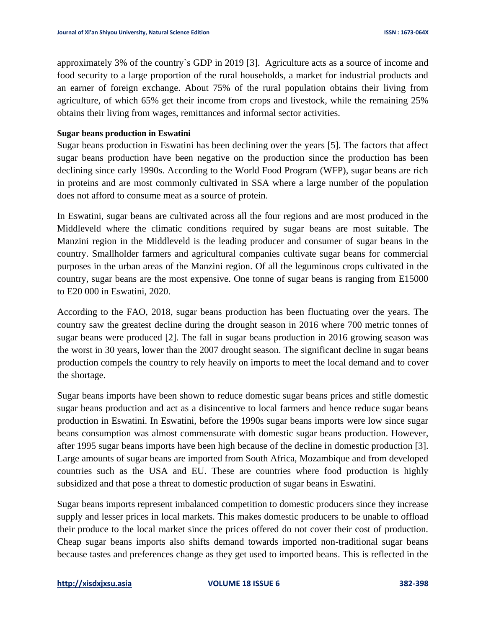approximately 3% of the country`s GDP in 2019 [3]. Agriculture acts as a source of income and food security to a large proportion of the rural households, a market for industrial products and an earner of foreign exchange. About 75% of the rural population obtains their living from agriculture, of which 65% get their income from crops and livestock, while the remaining 25% obtains their living from wages, remittances and informal sector activities.

#### **Sugar beans production in Eswatini**

Sugar beans production in Eswatini has been declining over the years [5]. The factors that affect sugar beans production have been negative on the production since the production has been declining since early 1990s. According to the World Food Program (WFP), sugar beans are rich in proteins and are most commonly cultivated in SSA where a large number of the population does not afford to consume meat as a source of protein.

In Eswatini, sugar beans are cultivated across all the four regions and are most produced in the Middleveld where the climatic conditions required by sugar beans are most suitable. The Manzini region in the Middleveld is the leading producer and consumer of sugar beans in the country. Smallholder farmers and agricultural companies cultivate sugar beans for commercial purposes in the urban areas of the Manzini region. Of all the leguminous crops cultivated in the country, sugar beans are the most expensive. One tonne of sugar beans is ranging from E15000 to E20 000 in Eswatini, 2020.

According to the FAO, 2018, sugar beans production has been fluctuating over the years. The country saw the greatest decline during the drought season in 2016 where 700 metric tonnes of sugar beans were produced [2]. The fall in sugar beans production in 2016 growing season was the worst in 30 years, lower than the 2007 drought season. The significant decline in sugar beans production compels the country to rely heavily on imports to meet the local demand and to cover the shortage.

Sugar beans imports have been shown to reduce domestic sugar beans prices and stifle domestic sugar beans production and act as a disincentive to local farmers and hence reduce sugar beans production in Eswatini. In Eswatini, before the 1990s sugar beans imports were low since sugar beans consumption was almost commensurate with domestic sugar beans production. However, after 1995 sugar beans imports have been high because of the decline in domestic production [3]. Large amounts of sugar beans are imported from South Africa, Mozambique and from developed countries such as the USA and EU. These are countries where food production is highly subsidized and that pose a threat to domestic production of sugar beans in Eswatini.

Sugar beans imports represent imbalanced competition to domestic producers since they increase supply and lesser prices in local markets. This makes domestic producers to be unable to offload their produce to the local market since the prices offered do not cover their cost of production. Cheap sugar beans imports also shifts demand towards imported non-traditional sugar beans because tastes and preferences change as they get used to imported beans. This is reflected in the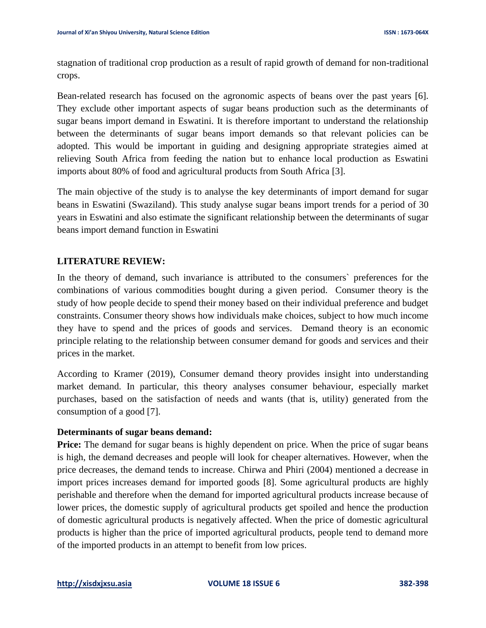stagnation of traditional crop production as a result of rapid growth of demand for non-traditional crops.

Bean-related research has focused on the agronomic aspects of beans over the past years [6]. They exclude other important aspects of sugar beans production such as the determinants of sugar beans import demand in Eswatini. It is therefore important to understand the relationship between the determinants of sugar beans import demands so that relevant policies can be adopted. This would be important in guiding and designing appropriate strategies aimed at relieving South Africa from feeding the nation but to enhance local production as Eswatini imports about 80% of food and agricultural products from South Africa [3].

The main objective of the study is to analyse the key determinants of import demand for sugar beans in Eswatini (Swaziland). This study analyse sugar beans import trends for a period of 30 years in Eswatini and also estimate the significant relationship between the determinants of sugar beans import demand function in Eswatini

# **LITERATURE REVIEW:**

In the theory of demand, such invariance is attributed to the consumers` preferences for the combinations of various commodities bought during a given period. Consumer theory is the study of how people decide to spend their money based on their individual preference and budget constraints. Consumer theory shows how individuals make choices, subject to how much income they have to spend and the prices of goods and services. Demand theory is an economic principle relating to the relationship between consumer demand for goods and services and their prices in the market.

According to Kramer (2019), Consumer demand theory provides insight into understanding market demand. In particular, this theory analyses consumer behaviour, especially market purchases, based on the satisfaction of needs and wants (that is, utility) generated from the consumption of a good [7].

## **Determinants of sugar beans demand:**

**Price:** The demand for sugar beans is highly dependent on price. When the price of sugar beans is high, the demand decreases and people will look for cheaper alternatives. However, when the price decreases, the demand tends to increase. Chirwa and Phiri (2004) mentioned a decrease in import prices increases demand for imported goods [8]. Some agricultural products are highly perishable and therefore when the demand for imported agricultural products increase because of lower prices, the domestic supply of agricultural products get spoiled and hence the production of domestic agricultural products is negatively affected. When the price of domestic agricultural products is higher than the price of imported agricultural products, people tend to demand more of the imported products in an attempt to benefit from low prices.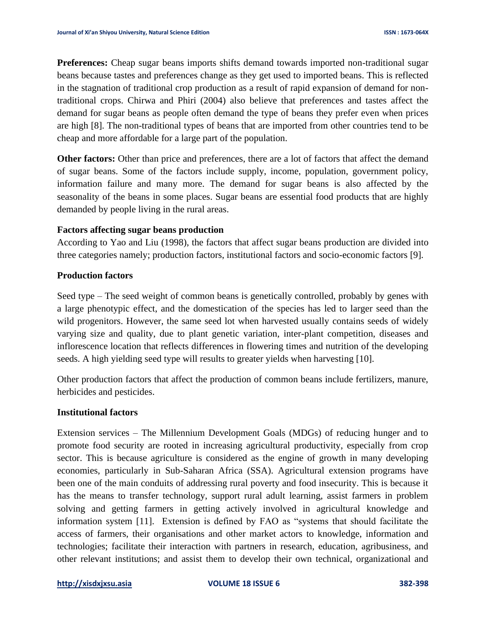**Preferences:** Cheap sugar beans imports shifts demand towards imported non-traditional sugar beans because tastes and preferences change as they get used to imported beans. This is reflected in the stagnation of traditional crop production as a result of rapid expansion of demand for nontraditional crops. Chirwa and Phiri (2004) also believe that preferences and tastes affect the demand for sugar beans as people often demand the type of beans they prefer even when prices are high [8]. The non-traditional types of beans that are imported from other countries tend to be cheap and more affordable for a large part of the population.

**Other factors:** Other than price and preferences, there are a lot of factors that affect the demand of sugar beans. Some of the factors include supply, income, population, government policy, information failure and many more. The demand for sugar beans is also affected by the seasonality of the beans in some places. Sugar beans are essential food products that are highly demanded by people living in the rural areas.

## **Factors affecting sugar beans production**

According to Yao and Liu (1998), the factors that affect sugar beans production are divided into three categories namely; production factors, institutional factors and socio-economic factors [9].

## **Production factors**

Seed type – The seed weight of common beans is genetically controlled, probably by genes with a large phenotypic effect, and the domestication of the species has led to larger seed than the wild progenitors. However, the same seed lot when harvested usually contains seeds of widely varying size and quality, due to plant genetic variation, inter-plant competition, diseases and inflorescence location that reflects differences in flowering times and nutrition of the developing seeds. A high yielding seed type will results to greater yields when harvesting [10].

Other production factors that affect the production of common beans include fertilizers, manure, herbicides and pesticides.

## **Institutional factors**

Extension services – The Millennium Development Goals (MDGs) of reducing hunger and to promote food security are rooted in increasing agricultural productivity, especially from crop sector. This is because agriculture is considered as the engine of growth in many developing economies, particularly in Sub-Saharan Africa (SSA). Agricultural extension programs have been one of the main conduits of addressing rural poverty and food insecurity. This is because it has the means to transfer technology, support rural adult learning, assist farmers in problem solving and getting farmers in getting actively involved in agricultural knowledge and information system [11]. Extension is defined by FAO as "systems that should facilitate the access of farmers, their organisations and other market actors to knowledge, information and technologies; facilitate their interaction with partners in research, education, agribusiness, and other relevant institutions; and assist them to develop their own technical, organizational and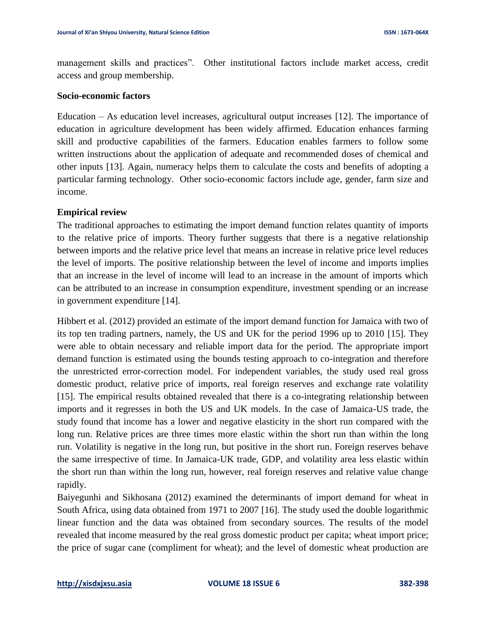management skills and practices". Other institutional factors include market access, credit access and group membership.

## **Socio-economic factors**

Education – As education level increases, agricultural output increases [12]. The importance of education in agriculture development has been widely affirmed. Education enhances farming skill and productive capabilities of the farmers. Education enables farmers to follow some written instructions about the application of adequate and recommended doses of chemical and other inputs [13]. Again, numeracy helps them to calculate the costs and benefits of adopting a particular farming technology. Other socio-economic factors include age, gender, farm size and income.

## **Empirical review**

The traditional approaches to estimating the import demand function relates quantity of imports to the relative price of imports. Theory further suggests that there is a negative relationship between imports and the relative price level that means an increase in relative price level reduces the level of imports. The positive relationship between the level of income and imports implies that an increase in the level of income will lead to an increase in the amount of imports which can be attributed to an increase in consumption expenditure, investment spending or an increase in government expenditure [14].

Hibbert et al. (2012) provided an estimate of the import demand function for Jamaica with two of its top ten trading partners, namely, the US and UK for the period 1996 up to 2010 [15]. They were able to obtain necessary and reliable import data for the period. The appropriate import demand function is estimated using the bounds testing approach to co-integration and therefore the unrestricted error-correction model. For independent variables, the study used real gross domestic product, relative price of imports, real foreign reserves and exchange rate volatility [15]. The empirical results obtained revealed that there is a co-integrating relationship between imports and it regresses in both the US and UK models. In the case of Jamaica-US trade, the study found that income has a lower and negative elasticity in the short run compared with the long run. Relative prices are three times more elastic within the short run than within the long run. Volatility is negative in the long run, but positive in the short run. Foreign reserves behave the same irrespective of time. In Jamaica-UK trade, GDP, and volatility area less elastic within the short run than within the long run, however, real foreign reserves and relative value change rapidly.

Baiyegunhi and Sikhosana (2012) examined the determinants of import demand for wheat in South Africa, using data obtained from 1971 to 2007 [16]. The study used the double logarithmic linear function and the data was obtained from secondary sources. The results of the model revealed that income measured by the real gross domestic product per capita; wheat import price; the price of sugar cane (compliment for wheat); and the level of domestic wheat production are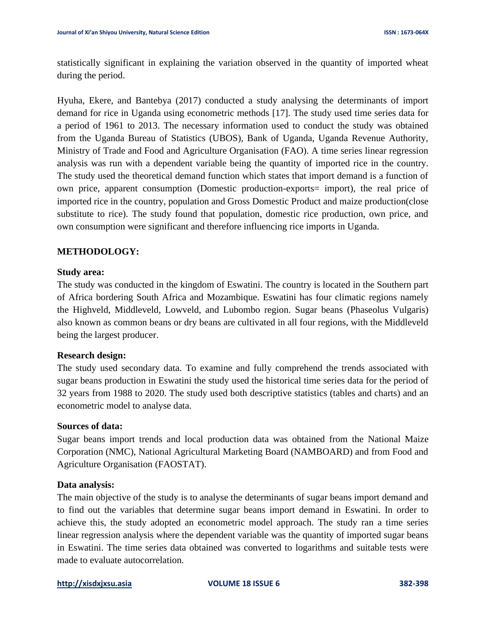statistically significant in explaining the variation observed in the quantity of imported wheat during the period.

Hyuha, Ekere, and Bantebya (2017) conducted a study analysing the determinants of import demand for rice in Uganda using econometric methods [17]. The study used time series data for a period of 1961 to 2013. The necessary information used to conduct the study was obtained from the Uganda Bureau of Statistics (UBOS), Bank of Uganda, Uganda Revenue Authority, Ministry of Trade and Food and Agriculture Organisation (FAO). A time series linear regression analysis was run with a dependent variable being the quantity of imported rice in the country. The study used the theoretical demand function which states that import demand is a function of own price, apparent consumption (Domestic production-exports= import), the real price of imported rice in the country, population and Gross Domestic Product and maize production(close substitute to rice). The study found that population, domestic rice production, own price, and own consumption were significant and therefore influencing rice imports in Uganda.

## **METHODOLOGY:**

#### **Study area:**

The study was conducted in the kingdom of Eswatini. The country is located in the Southern part of Africa bordering South Africa and Mozambique. Eswatini has four climatic regions namely the Highveld, Middleveld, Lowveld, and Lubombo region. Sugar beans (Phaseolus Vulgaris) also known as common beans or dry beans are cultivated in all four regions, with the Middleveld being the largest producer.

## **Research design:**

The study used secondary data. To examine and fully comprehend the trends associated with sugar beans production in Eswatini the study used the historical time series data for the period of 32 years from 1988 to 2020. The study used both descriptive statistics (tables and charts) and an econometric model to analyse data.

#### **Sources of data:**

Sugar beans import trends and local production data was obtained from the National Maize Corporation (NMC), National Agricultural Marketing Board (NAMBOARD) and from Food and Agriculture Organisation (FAOSTAT).

## **Data analysis:**

The main objective of the study is to analyse the determinants of sugar beans import demand and to find out the variables that determine sugar beans import demand in Eswatini. In order to achieve this, the study adopted an econometric model approach. The study ran a time series linear regression analysis where the dependent variable was the quantity of imported sugar beans in Eswatini. The time series data obtained was converted to logarithms and suitable tests were made to evaluate autocorrelation.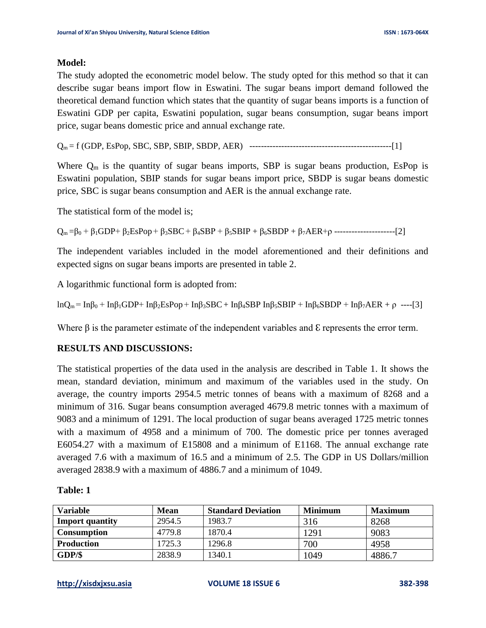#### **Model:**

The study adopted the econometric model below. The study opted for this method so that it can describe sugar beans import flow in Eswatini. The sugar beans import demand followed the theoretical demand function which states that the quantity of sugar beans imports is a function of Eswatini GDP per capita, Eswatini population, sugar beans consumption, sugar beans import price, sugar beans domestic price and annual exchange rate.

Qm = f (GDP, EsPop, SBC, SBP, SBIP, SBDP, AER) -------------------------------------------------[1]

Where  $Q_m$  is the quantity of sugar beans imports, SBP is sugar beans production, EsPop is Eswatini population, SBIP stands for sugar beans import price, SBDP is sugar beans domestic price, SBC is sugar beans consumption and AER is the annual exchange rate.

The statistical form of the model is;

 $Q_m = \beta_0 + \beta_1 GDP + \beta_2 Espop + \beta_3 SBC + \beta_4 SBP + \beta_5 SBIP + \beta_6 SBDP + \beta_7 AER + \rho$  ---------------------[2]

The independent variables included in the model aforementioned and their definitions and expected signs on sugar beans imports are presented in table 2.

A logarithmic functional form is adopted from:

lnQ<sub>m</sub> = Inβ<sub>0</sub> + Inβ<sub>1</sub>GDP+ Inβ<sub>2</sub>EsPop + Inβ<sub>3</sub>SBC + Inβ<sub>4</sub>SBP Inβ<sub>5</sub>SBIP + Inβ<sub>6</sub>SBDP + Inβ<sub>7</sub>AER + ρ ----[3]

Where  $\beta$  is the parameter estimate of the independent variables and  $\epsilon$  represents the error term.

## **RESULTS AND DISCUSSIONS:**

The statistical properties of the data used in the analysis are described in Table 1. It shows the mean, standard deviation, minimum and maximum of the variables used in the study. On average, the country imports 2954.5 metric tonnes of beans with a maximum of 8268 and a minimum of 316. Sugar beans consumption averaged 4679.8 metric tonnes with a maximum of 9083 and a minimum of 1291. The local production of sugar beans averaged 1725 metric tonnes with a maximum of 4958 and a minimum of 700. The domestic price per tonnes averaged E6054.27 with a maximum of E15808 and a minimum of E1168. The annual exchange rate averaged 7.6 with a maximum of 16.5 and a minimum of 2.5. The GDP in US Dollars/million averaged 2838.9 with a maximum of 4886.7 and a minimum of 1049.

| Variable               | <b>Mean</b> | <b>Standard Deviation</b> | <b>Minimum</b> | <b>Maximum</b> |
|------------------------|-------------|---------------------------|----------------|----------------|
| <b>Import quantity</b> | 2954.5      | 1983.7                    | 316            | 8268           |
| <b>Consumption</b>     | 4779.8      | 1870.4                    | 1291           | 9083           |
| <b>Production</b>      | 1725.3      | 1296.8                    | 700            | 4958           |
| GDP/S                  | 2838.9      | 1340.1                    | 1049           | 4886.7         |

#### **Table: 1**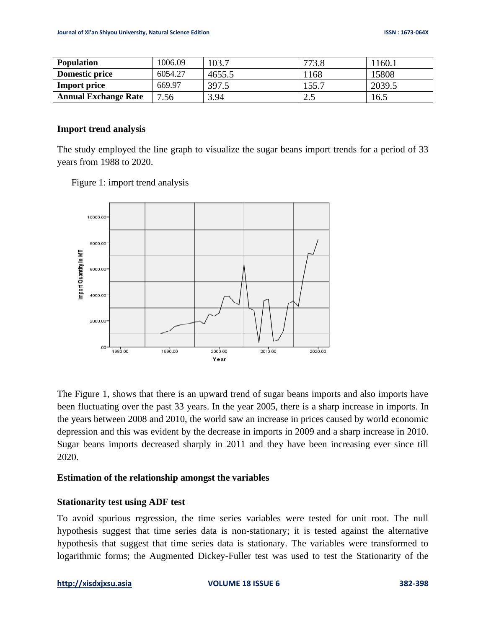| <b>Population</b>           | 1006.09 | 103.7  | 773x<br>79.0               | 1160.1 |
|-----------------------------|---------|--------|----------------------------|--------|
| Domestic price              | 6054.27 | 4655.5 | 168                        | 15808  |
| <b>Import price</b>         | 669.97  | 397.5  | 155.7                      | 2039.5 |
| <b>Annual Exchange Rate</b> | 7.56    | 3.94   | $\gamma$ $\epsilon$<br>ل ک | 16.5   |

#### **Import trend analysis**

The study employed the line graph to visualize the sugar beans import trends for a period of 33 years from 1988 to 2020.





The Figure 1, shows that there is an upward trend of sugar beans imports and also imports have been fluctuating over the past 33 years. In the year 2005, there is a sharp increase in imports. In the years between 2008 and 2010, the world saw an increase in prices caused by world economic depression and this was evident by the decrease in imports in 2009 and a sharp increase in 2010. Sugar beans imports decreased sharply in 2011 and they have been increasing ever since till 2020.

# **Estimation of the relationship amongst the variables**

## **Stationarity test using ADF test**

To avoid spurious regression, the time series variables were tested for unit root. The null hypothesis suggest that time series data is non-stationary; it is tested against the alternative hypothesis that suggest that time series data is stationary. The variables were transformed to logarithmic forms; the Augmented Dickey-Fuller test was used to test the Stationarity of the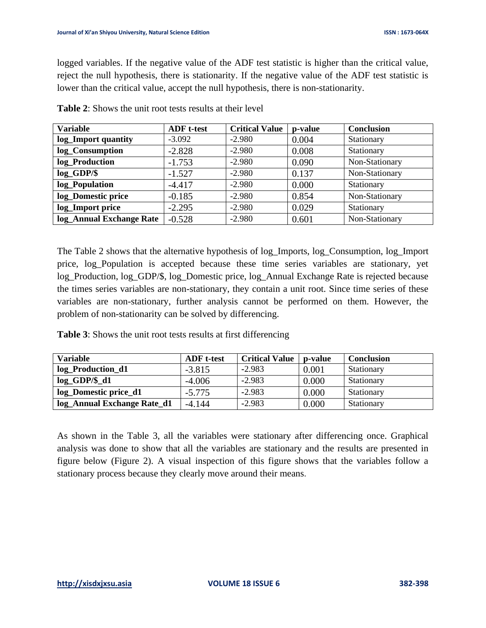logged variables. If the negative value of the ADF test statistic is higher than the critical value, reject the null hypothesis, there is stationarity. If the negative value of the ADF test statistic is lower than the critical value, accept the null hypothesis, there is non-stationarity.

| <b>Variable</b>          | <b>ADF</b> t-test | <b>Critical Value</b> | p-value | <b>Conclusion</b> |
|--------------------------|-------------------|-----------------------|---------|-------------------|
| log_Import quantity      | $-3.092$          | $-2.980$              | 0.004   | Stationary        |
| log_Consumption          | $-2.828$          | $-2.980$              | 0.008   | Stationary        |
| log_Production           | $-1.753$          | $-2.980$              | 0.090   | Non-Stationary    |
| $log_GDP/\$              | $-1.527$          | $-2.980$              | 0.137   | Non-Stationary    |
| log_Population           | $-4.417$          | $-2.980$              | 0.000   | Stationary        |
| log_Domestic price       | $-0.185$          | $-2.980$              | 0.854   | Non-Stationary    |
| log_Import price         | $-2.295$          | $-2.980$              | 0.029   | Stationary        |
| log_Annual Exchange Rate | $-0.528$          | $-2.980$              | 0.601   | Non-Stationary    |

**Table 2**: Shows the unit root tests results at their level

The Table 2 shows that the alternative hypothesis of log\_Imports, log\_Consumption, log\_Import price, log\_Population is accepted because these time series variables are stationary, yet log\_Production, log\_GDP/\$, log\_Domestic price, log\_Annual Exchange Rate is rejected because the times series variables are non-stationary, they contain a unit root. Since time series of these variables are non-stationary, further analysis cannot be performed on them. However, the problem of non-stationarity can be solved by differencing.

**Table 3**: Shows the unit root tests results at first differencing

| <b>Variable</b>             | <b>ADF</b> t-test | <b>Critical Value</b> | <b>p</b> -value | <b>Conclusion</b> |
|-----------------------------|-------------------|-----------------------|-----------------|-------------------|
| log_Production_d1           | $-3.815$          | $-2.983$              | 0.001           | Stationary        |
| $log_GDP/\$ _d1             | $-4.006$          | $-2.983$              | 0.000           | Stationary        |
| log_Domestic price_d1       | $-5.775$          | $-2.983$              | 0.000           | Stationary        |
| log_Annual Exchange Rate_d1 | $-4.144$          | $-2.983$              | 0.000           | Stationary        |

As shown in the Table 3, all the variables were stationary after differencing once. Graphical analysis was done to show that all the variables are stationary and the results are presented in figure below (Figure 2). A visual inspection of this figure shows that the variables follow a stationary process because they clearly move around their means.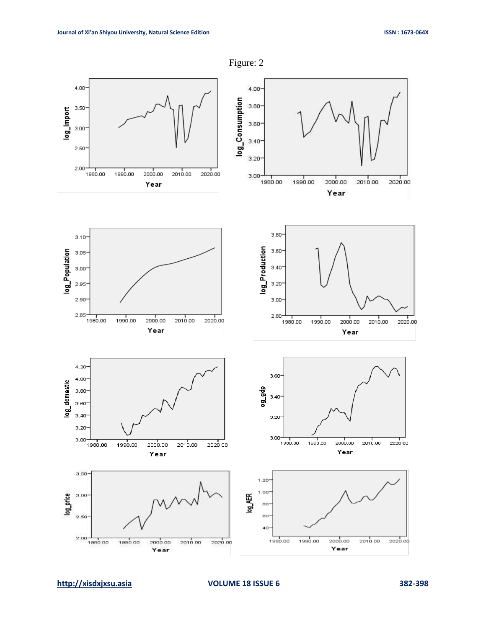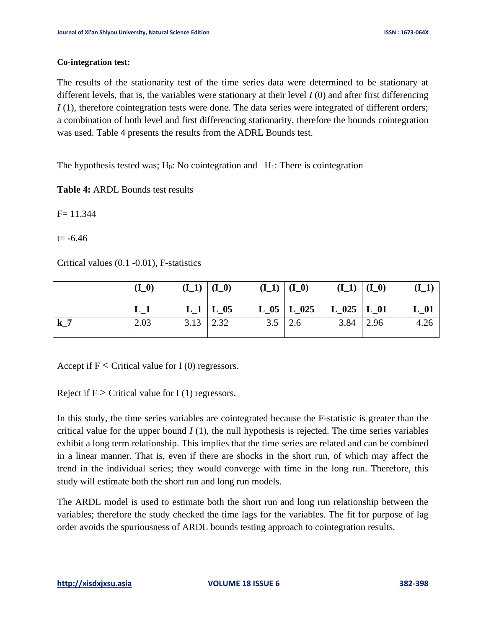#### **Co-integration test:**

The results of the stationarity test of the time series data were determined to be stationary at different levels, that is, the variables were stationary at their level *I* (0) and after first differencing *I* (1), therefore cointegration tests were done. The data series were integrated of different orders; a combination of both level and first differencing stationarity, therefore the bounds cointegration was used. Table 4 presents the results from the ADRL Bounds test.

The hypothesis tested was;  $H_0$ : No cointegration and  $H_1$ : There is cointegration

**Table 4:** ARDL Bounds test results

 $F = 11.344$ 

t= **-**6.46

Critical values (0.1 -0.01), F-statistics

|       | $(I_0)$ | $(I_1)   (I_0)$   |                 | $(I_1)   (I_0)$   |                                                                           | $(I_1)   (I_0)$ | $(I_1)$ |
|-------|---------|-------------------|-----------------|-------------------|---------------------------------------------------------------------------|-----------------|---------|
|       | $L_1$   |                   | $L_1 \mid L_05$ |                   | $\rm L\_05$ $\vert$ $\rm L\_025$ $\vert$ $\rm L\_025$ $\vert$ $\rm L\_01$ |                 | L 01    |
| $k_7$ | 2.03    | $3.13 \quad 2.32$ |                 | $3.5 \,   \, 2.6$ |                                                                           | $3.84$   2.96   | 4.26    |

Accept if  $F \leq C$ ritical value for I (0) regressors.

Reject if  $F >$  Critical value for I (1) regressors.

In this study, the time series variables are cointegrated because the F-statistic is greater than the critical value for the upper bound  $I(1)$ , the null hypothesis is rejected. The time series variables exhibit a long term relationship. This implies that the time series are related and can be combined in a linear manner. That is, even if there are shocks in the short run, of which may affect the trend in the individual series; they would converge with time in the long run. Therefore, this study will estimate both the short run and long run models.

The ARDL model is used to estimate both the short run and long run relationship between the variables; therefore the study checked the time lags for the variables. The fit for purpose of lag order avoids the spuriousness of ARDL bounds testing approach to cointegration results.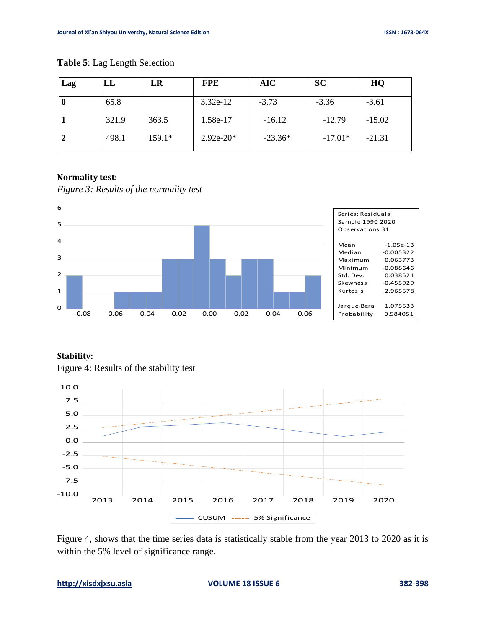| Lag | LL    | LR       | <b>FPE</b>  | <b>AIC</b> | <b>SC</b> | HQ       |
|-----|-------|----------|-------------|------------|-----------|----------|
| v   | 65.8  |          | $3.32e-12$  | $-3.73$    | $-3.36$   | $-3.61$  |
|     | 321.9 | 363.5    | 1.58e-17    | $-16.12$   | $-12.79$  | $-15.02$ |
|     | 498.1 | $159.1*$ | $2.92e-20*$ | $-23.36*$  | $-17.01*$ | $-21.31$ |

#### **Table 5**: Lag Length Selection

## **Normality test:**



*Figure 3: Results of the normality test*

## **Stability:**





Figure 4, shows that the time series data is statistically stable from the year 2013 to 2020 as it is within the 5% level of significance range.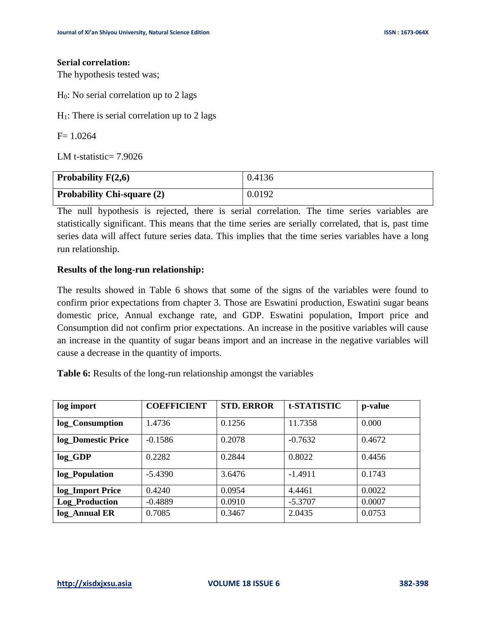#### **Serial correlation:**

The hypothesis tested was;

H0: No serial correlation up to 2 lags

 $H_1$ : There is serial correlation up to 2 lags

 $F= 1.0264$ 

LM t-statistic= 7.9026

| Probability $F(2,6)$              | 0.4136 |
|-----------------------------------|--------|
| <b>Probability Chi-square (2)</b> | 0.0192 |

The null hypothesis is rejected, there is serial correlation. The time series variables are statistically significant. This means that the time series are serially correlated, that is, past time series data will affect future series data. This implies that the time series variables have a long run relationship.

## **Results of the long-run relationship:**

The results showed in Table 6 shows that some of the signs of the variables were found to confirm prior expectations from chapter 3. Those are Eswatini production, Eswatini sugar beans domestic price, Annual exchange rate, and GDP. Eswatini population, Import price and Consumption did not confirm prior expectations. An increase in the positive variables will cause an increase in the quantity of sugar beans import and an increase in the negative variables will cause a decrease in the quantity of imports.

**Table 6:** Results of the long-run relationship amongst the variables

| log import            | <b>COEFFICIENT</b> | <b>STD. ERROR</b> | t-STATISTIC | p-value |
|-----------------------|--------------------|-------------------|-------------|---------|
| log_Consumption       | 1.4736             | 0.1256            | 11.7358     | 0.000   |
| log_Domestic Price    | $-0.1586$          | 0.2078            | $-0.7632$   | 0.4672  |
| $log_GDP$             | 0.2282             | 0.2844            | 0.8022      | 0.4456  |
| log_Population        | $-5.4390$          | 3.6476            | $-1.4911$   | 0.1743  |
| log_Import Price      | 0.4240             | 0.0954            | 4.4461      | 0.0022  |
| <b>Log_Production</b> | $-0.4889$          | 0.0910            | $-5.3707$   | 0.0007  |
| log_Annual ER         | 0.7085             | 0.3467            | 2.0435      | 0.0753  |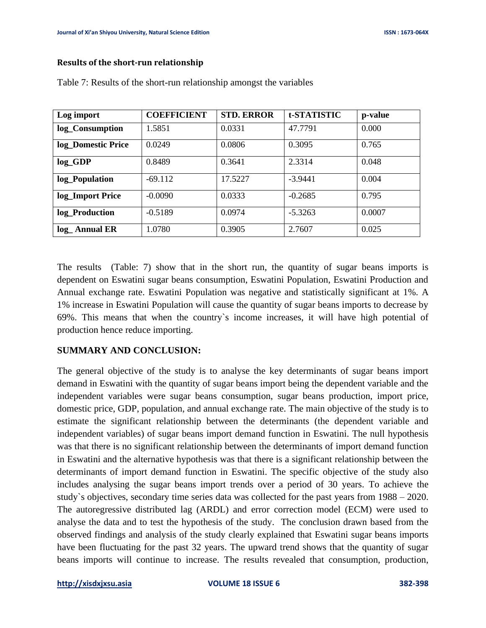#### **Results of the short-run relationship**

| Log import         | <b>COEFFICIENT</b> | <b>STD. ERROR</b> | t-STATISTIC | p-value |
|--------------------|--------------------|-------------------|-------------|---------|
| log_Consumption    | 1.5851             | 0.0331            | 47.7791     | 0.000   |
| log_Domestic Price | 0.0249             | 0.0806            | 0.3095      | 0.765   |
| $log_GDP$          | 0.8489             | 0.3641            | 2.3314      | 0.048   |
| log_Population     | $-69.112$          | 17.5227           | $-3.9441$   | 0.004   |
| log_Import Price   | $-0.0090$          | 0.0333            | $-0.2685$   | 0.795   |
| log_Production     | $-0.5189$          | 0.0974            | $-5.3263$   | 0.0007  |
| log_Annual ER      | 1.0780             | 0.3905            | 2.7607      | 0.025   |

Table 7: Results of the short-run relationship amongst the variables

The results (Table: 7) show that in the short run, the quantity of sugar beans imports is dependent on Eswatini sugar beans consumption, Eswatini Population, Eswatini Production and Annual exchange rate. Eswatini Population was negative and statistically significant at 1%. A 1% increase in Eswatini Population will cause the quantity of sugar beans imports to decrease by 69%. This means that when the country`s income increases, it will have high potential of production hence reduce importing.

## **SUMMARY AND CONCLUSION:**

The general objective of the study is to analyse the key determinants of sugar beans import demand in Eswatini with the quantity of sugar beans import being the dependent variable and the independent variables were sugar beans consumption, sugar beans production, import price, domestic price, GDP, population, and annual exchange rate. The main objective of the study is to estimate the significant relationship between the determinants (the dependent variable and independent variables) of sugar beans import demand function in Eswatini. The null hypothesis was that there is no significant relationship between the determinants of import demand function in Eswatini and the alternative hypothesis was that there is a significant relationship between the determinants of import demand function in Eswatini. The specific objective of the study also includes analysing the sugar beans import trends over a period of 30 years. To achieve the study`s objectives, secondary time series data was collected for the past years from 1988 – 2020. The autoregressive distributed lag (ARDL) and error correction model (ECM) were used to analyse the data and to test the hypothesis of the study. The conclusion drawn based from the observed findings and analysis of the study clearly explained that Eswatini sugar beans imports have been fluctuating for the past 32 years. The upward trend shows that the quantity of sugar beans imports will continue to increase. The results revealed that consumption, production,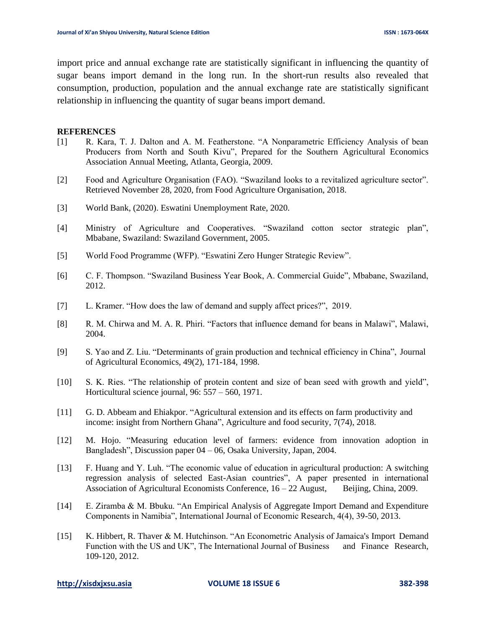import price and annual exchange rate are statistically significant in influencing the quantity of sugar beans import demand in the long run. In the short-run results also revealed that consumption, production, population and the annual exchange rate are statistically significant relationship in influencing the quantity of sugar beans import demand.

#### **REFERENCES**

- [1] R. Kara, T. J. Dalton and A. M. Featherstone. "A Nonparametric Efficiency Analysis of bean Producers from North and South Kivu", Prepared for the Southern Agricultural Economics Association Annual Meeting, Atlanta, Georgia, 2009.
- [2] Food and Agriculture Organisation (FAO). "Swaziland looks to a revitalized agriculture sector". Retrieved November 28, 2020, from Food Agriculture Organisation, 2018.
- [3] World Bank, (2020). Eswatini Unemployment Rate, 2020.
- [4] Ministry of Agriculture and Cooperatives. "Swaziland cotton sector strategic plan", Mbabane, Swaziland: Swaziland Government, 2005.
- [5] World Food Programme (WFP). "Eswatini Zero Hunger Strategic Review".
- [6] C. F. Thompson. "Swaziland Business Year Book, A. Commercial Guide", Mbabane, Swaziland, 2012.
- [7] L. Kramer. "How does the law of demand and supply affect prices?", 2019.
- [8] R. M. Chirwa and M. A. R. Phiri. "Factors that influence demand for beans in Malawi", Malawi, 2004.
- [9] S. Yao and Z. Liu. "Determinants of grain production and technical efficiency in China", Journal of Agricultural Economics, 49(2), 171-184, 1998.
- [10] S. K. Ries. "The relationship of protein content and size of bean seed with growth and yield", Horticultural science journal, 96: 557 – 560, 1971.
- [11] G. D. Abbeam and Ehiakpor. "Agricultural extension and its effects on farm productivity and income: insight from Northern Ghana", Agriculture and food security, 7(74), 2018.
- [12] M. Hojo. "Measuring education level of farmers: evidence from innovation adoption in Bangladesh", Discussion paper 04 – 06, Osaka University, Japan, 2004.
- [13] F. Huang and Y. Luh. "The economic value of education in agricultural production: A switching regression analysis of selected East-Asian countries", A paper presented in international Association of Agricultural Economists Conference,  $16 - 22$  August, Beijing, China, 2009.
- [14] E. Ziramba & M. Bbuku. "An Empirical Analysis of Aggregate Import Demand and Expenditure Components in Namibia", International Journal of Economic Research, 4(4), 39-50, 2013.
- [15] K. Hibbert, R. Thaver & M. Hutchinson. "An Econometric Analysis of Jamaica's Import Demand Function with the US and UK", The International Journal of Business and Finance Research, 109-120, 2012.